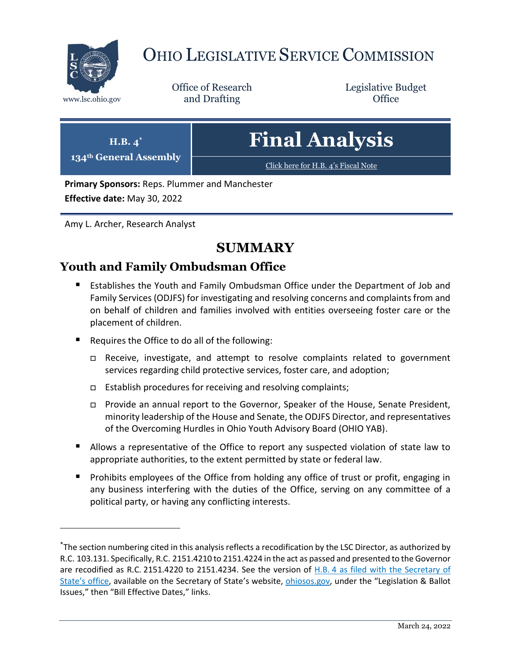

 $\overline{a}$ 

# OHIO LEGISLATIVE SERVICE COMMISSION

Office of Research www.lsc.ohio.gov **and Drafting Office** 

Legislative Budget

| H.B. $4^*$<br>134th General Assembly | <b>Final Analysis</b>               |  |
|--------------------------------------|-------------------------------------|--|
|                                      | Click here for H.B. 4's Fiscal Note |  |
|                                      |                                     |  |

**Primary Sponsors:** Reps. Plummer and Manchester

**Effective date:** May 30, 2022

Amy L. Archer, Research Analyst

# **SUMMARY**

# **Youth and Family Ombudsman Office**

- Establishes the Youth and Family Ombudsman Office under the Department of Job and Family Services (ODJFS) for investigating and resolving concerns and complaints from and on behalf of children and families involved with entities overseeing foster care or the placement of children.
- Requires the Office to do all of the following:
	- Receive, investigate, and attempt to resolve complaints related to government services regarding child protective services, foster care, and adoption;
	- $\Box$  Establish procedures for receiving and resolving complaints;
	- Provide an annual report to the Governor, Speaker of the House, Senate President, minority leadership of the House and Senate, the ODJFS Director, and representatives of the Overcoming Hurdles in Ohio Youth Advisory Board (OHIO YAB).
- Allows a representative of the Office to report any suspected violation of state law to appropriate authorities, to the extent permitted by state or federal law.
- **Prohibits employees of the Office from holding any office of trust or profit, engaging in** any business interfering with the duties of the Office, serving on any committee of a political party, or having any conflicting interests.

<sup>\*</sup>The section numbering cited in this analysis reflects a recodification by the LSC Director, as authorized by R.C. 103.131. Specifically, R.C. 2151.4210 to 2151.4224 in the act as passed and presented to the Governor are recodified as R.C. 2151.4220 to 2151.4234. See the version of H.B. [4 as filed with the Secretary of](https://www.ohiosos.gov/legislation-and-ballot-issues/laws-of-ohio/bill-effective-dates/)  State's [office,](https://www.ohiosos.gov/legislation-and-ballot-issues/laws-of-ohio/bill-effective-dates/) available on the Secretary of State's website, [ohiosos.gov,](https://www.ohiosos.gov/) under the "Legislation & Ballot Issues," then "Bill Effective Dates," links.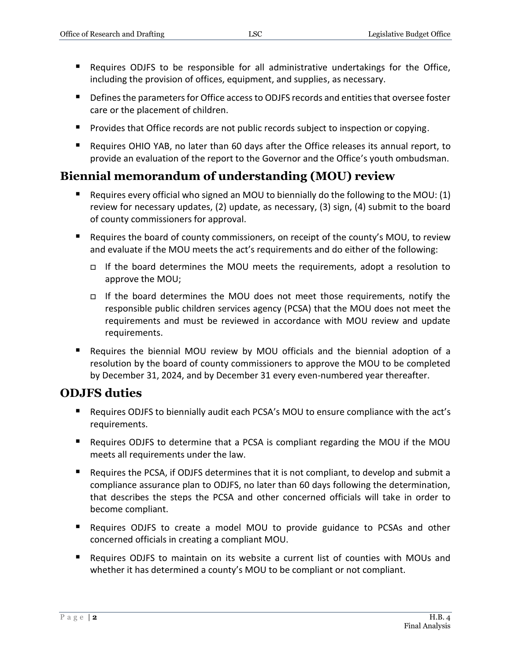- Requires ODJFS to be responsible for all administrative undertakings for the Office, including the provision of offices, equipment, and supplies, as necessary.
- Defines the parameters for Office access to ODJFS records and entities that oversee foster care or the placement of children.
- **Provides that Office records are not public records subject to inspection or copying.**
- Requires OHIO YAB, no later than 60 days after the Office releases its annual report, to provide an evaluation of the report to the Governor and the Office's youth ombudsman.

# **Biennial memorandum of understanding (MOU) review**

- Requires every official who signed an MOU to biennially do the following to the MOU:  $(1)$ review for necessary updates, (2) update, as necessary, (3) sign, (4) submit to the board of county commissioners for approval.
- Requires the board of county commissioners, on receipt of the county's MOU, to review and evaluate if the MOU meets the act's requirements and do either of the following:
	- If the board determines the MOU meets the requirements, adopt a resolution to approve the MOU;
	- If the board determines the MOU does not meet those requirements, notify the responsible public children services agency (PCSA) that the MOU does not meet the requirements and must be reviewed in accordance with MOU review and update requirements.
- Requires the biennial MOU review by MOU officials and the biennial adoption of a resolution by the board of county commissioners to approve the MOU to be completed by December 31, 2024, and by December 31 every even-numbered year thereafter.

## **ODJFS duties**

- Requires ODJFS to biennially audit each PCSA's MOU to ensure compliance with the act's requirements.
- Requires ODJFS to determine that a PCSA is compliant regarding the MOU if the MOU meets all requirements under the law.
- Requires the PCSA, if ODJFS determines that it is not compliant, to develop and submit a compliance assurance plan to ODJFS, no later than 60 days following the determination, that describes the steps the PCSA and other concerned officials will take in order to become compliant.
- Requires ODJFS to create a model MOU to provide guidance to PCSAs and other concerned officials in creating a compliant MOU.
- Requires ODJFS to maintain on its website a current list of counties with MOUs and whether it has determined a county's MOU to be compliant or not compliant.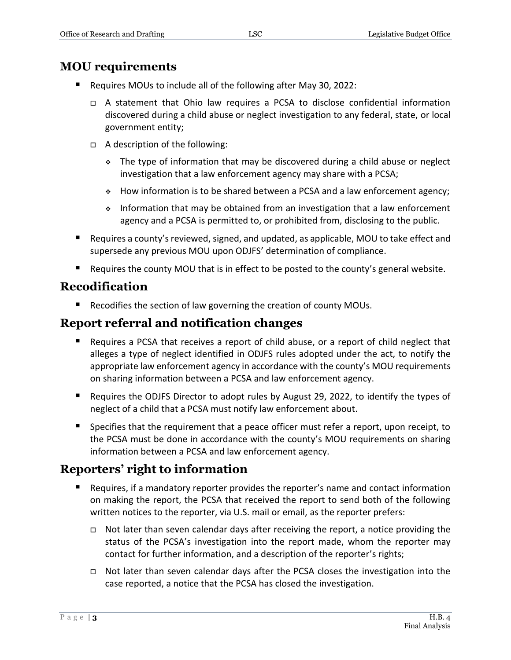# **MOU requirements**

- Requires MOUs to include all of the following after May 30, 2022:
	- A statement that Ohio law requires a PCSA to disclose confidential information discovered during a child abuse or neglect investigation to any federal, state, or local government entity;
	- A description of the following:
		- The type of information that may be discovered during a child abuse or neglect investigation that a law enforcement agency may share with a PCSA;
		- How information is to be shared between a PCSA and a law enforcement agency;
		- $\div$  Information that may be obtained from an investigation that a law enforcement agency and a PCSA is permitted to, or prohibited from, disclosing to the public.
- Requires a county's reviewed, signed, and updated, as applicable, MOU to take effect and supersede any previous MOU upon ODJFS' determination of compliance.
- Requires the county MOU that is in effect to be posted to the county's general website.

# **Recodification**

■ Recodifies the section of law governing the creation of county MOUs.

# **Report referral and notification changes**

- Requires a PCSA that receives a report of child abuse, or a report of child neglect that alleges a type of neglect identified in ODJFS rules adopted under the act, to notify the appropriate law enforcement agency in accordance with the county's MOU requirements on sharing information between a PCSA and law enforcement agency.
- Requires the ODJFS Director to adopt rules by August 29, 2022, to identify the types of neglect of a child that a PCSA must notify law enforcement about.
- Specifies that the requirement that a peace officer must refer a report, upon receipt, to the PCSA must be done in accordance with the county's MOU requirements on sharing information between a PCSA and law enforcement agency.

# **Reporters' right to information**

- Requires, if a mandatory reporter provides the reporter's name and contact information on making the report, the PCSA that received the report to send both of the following written notices to the reporter, via U.S. mail or email, as the reporter prefers:
	- $\Box$  Not later than seven calendar days after receiving the report, a notice providing the status of the PCSA's investigation into the report made, whom the reporter may contact for further information, and a description of the reporter's rights;
	- Not later than seven calendar days after the PCSA closes the investigation into the case reported, a notice that the PCSA has closed the investigation.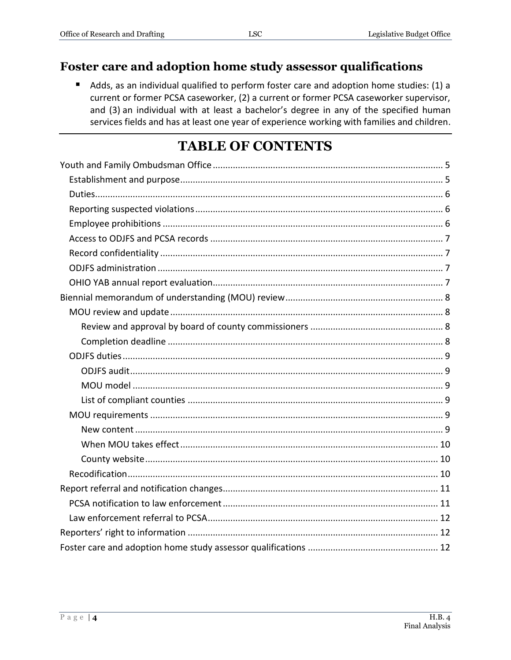# Foster care and adoption home study assessor qualifications

Adds, as an individual qualified to perform foster care and adoption home studies: (1) a current or former PCSA caseworker, (2) a current or former PCSA caseworker supervisor, and (3) an individual with at least a bachelor's degree in any of the specified human services fields and has at least one year of experience working with families and children.

# **TABLE OF CONTENTS**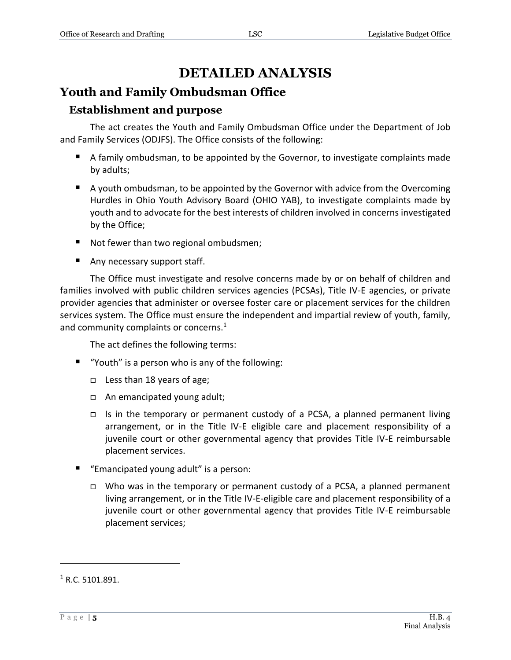# **DETAILED ANALYSIS**

# <span id="page-4-0"></span>**Youth and Family Ombudsman Office**

# <span id="page-4-1"></span>**Establishment and purpose**

The act creates the Youth and Family Ombudsman Office under the Department of Job and Family Services (ODJFS). The Office consists of the following:

- A family ombudsman, to be appointed by the Governor, to investigate complaints made by adults;
- A youth ombudsman, to be appointed by the Governor with advice from the Overcoming Hurdles in Ohio Youth Advisory Board (OHIO YAB), to investigate complaints made by youth and to advocate for the best interests of children involved in concerns investigated by the Office;
- Not fewer than two regional ombudsmen;
- Any necessary support staff.

The Office must investigate and resolve concerns made by or on behalf of children and families involved with public children services agencies (PCSAs), Title IV-E agencies, or private provider agencies that administer or oversee foster care or placement services for the children services system. The Office must ensure the independent and impartial review of youth, family, and community complaints or concerns.<sup>1</sup>

The act defines the following terms:

- "Youth" is a person who is any of the following:
	- Less than 18 years of age;
	- An emancipated young adult;
	- Is in the temporary or permanent custody of a PCSA, a planned permanent living arrangement, or in the Title IV-E eligible care and placement responsibility of a juvenile court or other governmental agency that provides Title IV-E reimbursable placement services.
- "Emancipated young adult" is a person:
	- $\Box$  Who was in the temporary or permanent custody of a PCSA, a planned permanent living arrangement, or in the Title IV-E-eligible care and placement responsibility of a juvenile court or other governmental agency that provides Title IV-E reimbursable placement services;

 $1$  R.C. 5101.891.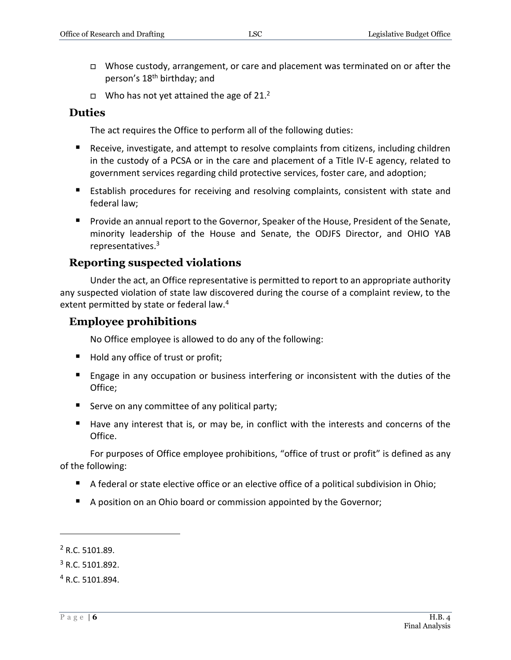- □ Whose custody, arrangement, or care and placement was terminated on or after the person's 18<sup>th</sup> birthday; and
- $\Box$  Who has not yet attained the age of 21.<sup>2</sup>

#### <span id="page-5-0"></span>**Duties**

The act requires the Office to perform all of the following duties:

- Receive, investigate, and attempt to resolve complaints from citizens, including children in the custody of a PCSA or in the care and placement of a Title IV-E agency, related to government services regarding child protective services, foster care, and adoption;
- **E** Establish procedures for receiving and resolving complaints, consistent with state and federal law;
- **Provide an annual report to the Governor, Speaker of the House, President of the Senate,** minority leadership of the House and Senate, the ODJFS Director, and OHIO YAB representatives. 3

#### <span id="page-5-1"></span>**Reporting suspected violations**

Under the act, an Office representative is permitted to report to an appropriate authority any suspected violation of state law discovered during the course of a complaint review, to the extent permitted by state or federal law.<sup>4</sup>

#### <span id="page-5-2"></span>**Employee prohibitions**

No Office employee is allowed to do any of the following:

- Hold any office of trust or profit;
- **Engage in any occupation or business interfering or inconsistent with the duties of the** Office;
- Serve on any committee of any political party;
- Have any interest that is, or may be, in conflict with the interests and concerns of the Office.

For purposes of Office employee prohibitions, "office of trust or profit" is defined as any of the following:

- A federal or state elective office or an elective office of a political subdivision in Ohio;
- A position on an Ohio board or commission appointed by the Governor;

<sup>2</sup> R.C. 5101.89.

<sup>3</sup> R.C. 5101.892.

<sup>4</sup> R.C. 5101.894.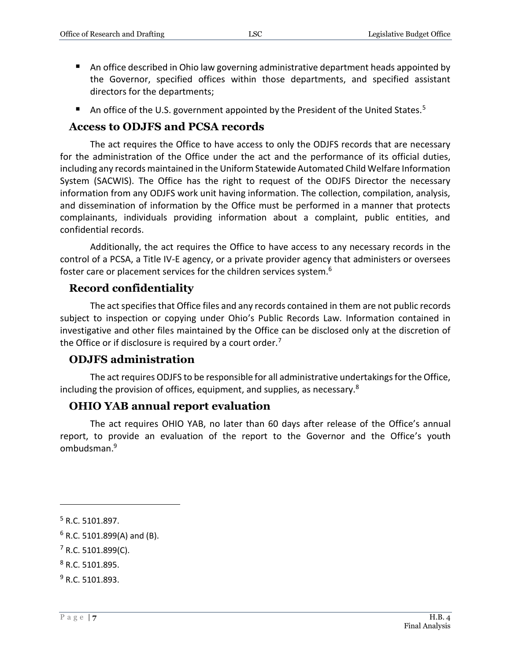- An office described in Ohio law governing administrative department heads appointed by the Governor, specified offices within those departments, and specified assistant directors for the departments;
- An office of the U.S. government appointed by the President of the United States.<sup>5</sup>

#### <span id="page-6-0"></span>**Access to ODJFS and PCSA records**

The act requires the Office to have access to only the ODJFS records that are necessary for the administration of the Office under the act and the performance of its official duties, including any records maintained in the Uniform Statewide Automated Child Welfare Information System (SACWIS). The Office has the right to request of the ODJFS Director the necessary information from any ODJFS work unit having information. The collection, compilation, analysis, and dissemination of information by the Office must be performed in a manner that protects complainants, individuals providing information about a complaint, public entities, and confidential records.

Additionally, the act requires the Office to have access to any necessary records in the control of a PCSA, a Title IV-E agency, or a private provider agency that administers or oversees foster care or placement services for the children services system.<sup>6</sup>

## <span id="page-6-1"></span>**Record confidentiality**

The act specifies that Office files and any records contained in them are not public records subject to inspection or copying under Ohio's Public Records Law. Information contained in investigative and other files maintained by the Office can be disclosed only at the discretion of the Office or if disclosure is required by a court order. $<sup>7</sup>$ </sup>

#### <span id="page-6-2"></span>**ODJFS administration**

The act requires ODJFS to be responsible for all administrative undertakings for the Office, including the provision of offices, equipment, and supplies, as necessary.<sup>8</sup>

#### <span id="page-6-3"></span>**OHIO YAB annual report evaluation**

The act requires OHIO YAB, no later than 60 days after release of the Office's annual report, to provide an evaluation of the report to the Governor and the Office's youth ombudsman. 9

<sup>5</sup> R.C. 5101.897.

 $6$  R.C. 5101.899(A) and (B).

 $7$  R.C. 5101.899(C).

<sup>8</sup> R.C. 5101.895.

<sup>9</sup> R.C. 5101.893.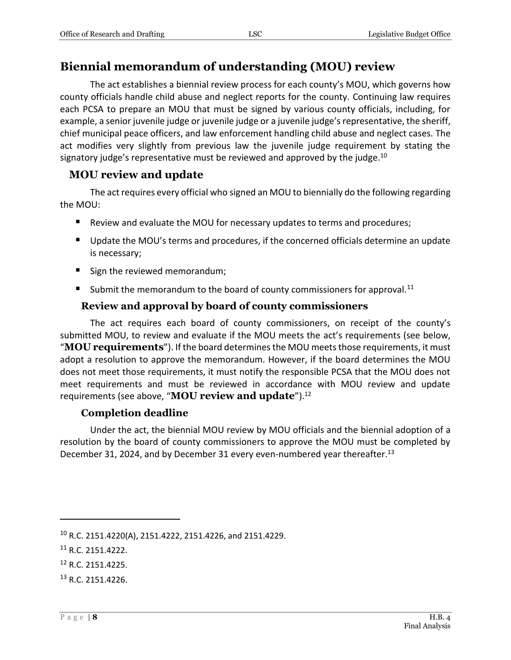# <span id="page-7-0"></span>**Biennial memorandum of understanding (MOU) review**

The act establishes a biennial review process for each county's MOU, which governs how county officials handle child abuse and neglect reports for the county. Continuing law requires each PCSA to prepare an MOU that must be signed by various county officials, including, for example, a senior juvenile judge or juvenile judge or a juvenile judge'srepresentative, the sheriff, chief municipal peace officers, and law enforcement handling child abuse and neglect cases. The act modifies very slightly from previous law the juvenile judge requirement by stating the signatory judge's representative must be reviewed and approved by the judge.<sup>10</sup>

#### <span id="page-7-1"></span>**MOU review and update**

The act requires every official who signed an MOU to biennially do the following regarding the MOU:

- **E** Review and evaluate the MOU for necessary updates to terms and procedures;
- **Update the MOU's terms and procedures, if the concerned officials determine an update** is necessary;
- Sign the reviewed memorandum;
- Submit the memorandum to the board of county commissioners for approval.<sup>11</sup>

#### **Review and approval by board of county commissioners**

<span id="page-7-2"></span>The act requires each board of county commissioners, on receipt of the county's submitted MOU, to review and evaluate if the MOU meets the act's requirements (see below, "**MOU requirements**"). If the board determines the MOU meets those requirements, it must adopt a resolution to approve the memorandum. However, if the board determines the MOU does not meet those requirements, it must notify the responsible PCSA that the MOU does not meet requirements and must be reviewed in accordance with MOU review and update requirements (see above, "**MOU review and update**").<sup>12</sup>

#### **Completion deadline**

<span id="page-7-3"></span>Under the act, the biennial MOU review by MOU officials and the biennial adoption of a resolution by the board of county commissioners to approve the MOU must be completed by December 31, 2024, and by December 31 every even-numbered year thereafter.<sup>13</sup>

<sup>13</sup> R.C. 2151.4226.

<sup>10</sup> R.C. 2151.4220(A), 2151.4222, 2151.4226, and 2151.4229.

<sup>11</sup> R.C. 2151.4222.

<sup>12</sup> R.C. 2151.4225.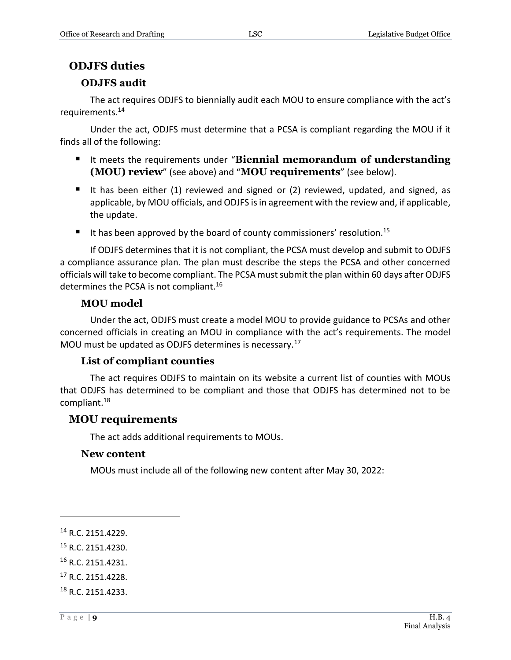# <span id="page-8-0"></span>**ODJFS duties**

## **ODJFS audit**

<span id="page-8-1"></span>The act requires ODJFS to biennially audit each MOU to ensure compliance with the act's requirements.<sup>14</sup>

Under the act, ODJFS must determine that a PCSA is compliant regarding the MOU if it finds all of the following:

- It meets the requirements under "**Biennial memorandum of understanding (MOU) review**" (see above) and "**MOU requirements**" (see below).
- It has been either (1) reviewed and signed or (2) reviewed, updated, and signed, as applicable, by MOU officials, and ODJFS is in agreement with the review and, if applicable, the update.
- It has been approved by the board of county commissioners' resolution.<sup>15</sup>

If ODJFS determines that it is not compliant, the PCSA must develop and submit to ODJFS a compliance assurance plan. The plan must describe the steps the PCSA and other concerned officials will take to become compliant. The PCSA must submit the plan within 60 days after ODJFS determines the PCSA is not compliant.<sup>16</sup>

## **MOU model**

<span id="page-8-2"></span>Under the act, ODJFS must create a model MOU to provide guidance to PCSAs and other concerned officials in creating an MOU in compliance with the act's requirements. The model MOU must be updated as ODJFS determines is necessary.<sup>17</sup>

## **List of compliant counties**

<span id="page-8-3"></span>The act requires ODJFS to maintain on its website a current list of counties with MOUs that ODJFS has determined to be compliant and those that ODJFS has determined not to be compliant.<sup>18</sup>

## <span id="page-8-4"></span>**MOU requirements**

The act adds additional requirements to MOUs.

## <span id="page-8-5"></span>**New content**

MOUs must include all of the following new content after May 30, 2022:

- <sup>15</sup> R.C. 2151.4230.
- <sup>16</sup> R.C. 2151.4231.
- <sup>17</sup> R.C. 2151.4228.
- <sup>18</sup> R.C. 2151.4233.

<sup>14</sup> R.C. 2151.4229.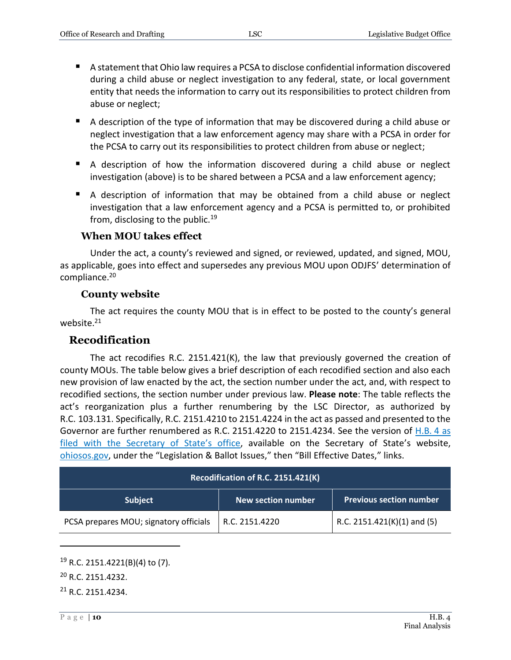- A statement that Ohio law requires a PCSA to disclose confidential information discovered during a child abuse or neglect investigation to any federal, state, or local government entity that needs the information to carry out its responsibilities to protect children from abuse or neglect;
- A description of the type of information that may be discovered during a child abuse or neglect investigation that a law enforcement agency may share with a PCSA in order for the PCSA to carry out its responsibilities to protect children from abuse or neglect;
- A description of how the information discovered during a child abuse or neglect investigation (above) is to be shared between a PCSA and a law enforcement agency;
- A description of information that may be obtained from a child abuse or neglect investigation that a law enforcement agency and a PCSA is permitted to, or prohibited from, disclosing to the public.<sup>19</sup>

#### **When MOU takes effect**

<span id="page-9-0"></span>Under the act, a county's reviewed and signed, or reviewed, updated, and signed, MOU, as applicable, goes into effect and supersedes any previous MOU upon ODJFS' determination of compliance.<sup>20</sup>

#### **County website**

<span id="page-9-1"></span>The act requires the county MOU that is in effect to be posted to the county's general website.<sup>21</sup>

#### <span id="page-9-2"></span>**Recodification**

The act recodifies R.C. 2151.421(K), the law that previously governed the creation of county MOUs. The table below gives a brief description of each recodified section and also each new provision of law enacted by the act, the section number under the act, and, with respect to recodified sections, the section number under previous law. **Please note**: The table reflects the act's reorganization plus a further renumbering by the LSC Director, as authorized by R.C. 103.131. Specifically, R.C. 2151.4210 to 2151.4224 in the act as passed and presented to the Governor are further renumbered as R.C. 2151.4220 to 2151.4234. See the version of [H.B.](https://www.ohiosos.gov/legislation-and-ballot-issues/laws-of-ohio/bill-effective-dates/) 4 as [filed with the Secretary of State](https://www.ohiosos.gov/legislation-and-ballot-issues/laws-of-ohio/bill-effective-dates/)'s office, available on the Secretary of State's website, [ohiosos.gov,](https://www.ohiosos.gov/) under the "Legislation & Ballot Issues," then "Bill Effective Dates," links.

| Recodification of R.C. 2151.421(K)     |                    |                                |  |  |
|----------------------------------------|--------------------|--------------------------------|--|--|
| <b>Subject</b>                         | New section number | <b>Previous section number</b> |  |  |
| PCSA prepares MOU; signatory officials | R.C. 2151.4220     | R.C. 2151.421(K)(1) and (5)    |  |  |

 $19$  R.C. 2151.4221(B)(4) to (7).

<sup>20</sup> R.C. 2151.4232.

<sup>21</sup> R.C. 2151.4234.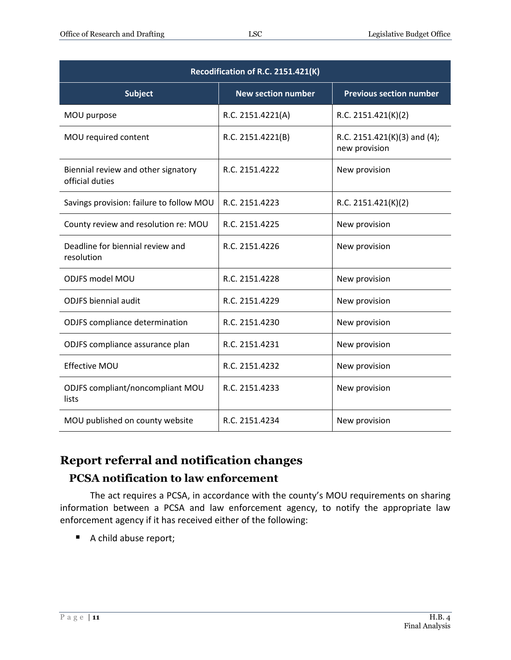| Recodification of R.C. 2151.421(K)                     |                           |                                               |  |  |
|--------------------------------------------------------|---------------------------|-----------------------------------------------|--|--|
| <b>Subject</b>                                         | <b>New section number</b> | <b>Previous section number</b>                |  |  |
| MOU purpose                                            | R.C. 2151.4221(A)         | R.C. 2151.421(K)(2)                           |  |  |
| MOU required content                                   | R.C. 2151.4221(B)         | R.C. 2151.421(K)(3) and (4);<br>new provision |  |  |
| Biennial review and other signatory<br>official duties | R.C. 2151.4222            | New provision                                 |  |  |
| Savings provision: failure to follow MOU               | R.C. 2151.4223            | R.C. 2151.421(K)(2)                           |  |  |
| County review and resolution re: MOU                   | R.C. 2151.4225            | New provision                                 |  |  |
| Deadline for biennial review and<br>resolution         | R.C. 2151.4226            | New provision                                 |  |  |
| <b>ODJFS model MOU</b>                                 | R.C. 2151.4228            | New provision                                 |  |  |
| <b>ODJFS</b> biennial audit                            | R.C. 2151.4229            | New provision                                 |  |  |
| ODJFS compliance determination                         | R.C. 2151.4230            | New provision                                 |  |  |
| ODJFS compliance assurance plan                        | R.C. 2151.4231            | New provision                                 |  |  |
| <b>Effective MOU</b>                                   | R.C. 2151.4232            | New provision                                 |  |  |
| ODJFS compliant/noncompliant MOU<br>lists              | R.C. 2151.4233            | New provision                                 |  |  |
| MOU published on county website                        | R.C. 2151.4234            | New provision                                 |  |  |

# <span id="page-10-0"></span>**Report referral and notification changes**

# <span id="page-10-1"></span>**PCSA notification to law enforcement**

The act requires a PCSA, in accordance with the county's MOU requirements on sharing information between a PCSA and law enforcement agency, to notify the appropriate law enforcement agency if it has received either of the following:

A child abuse report;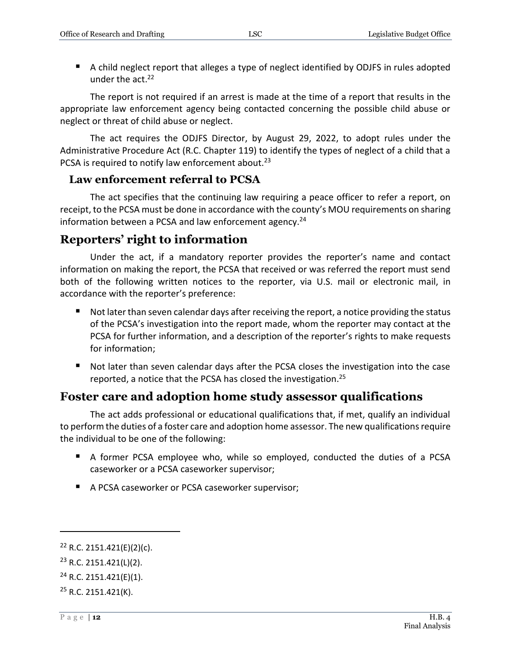■ A child neglect report that alleges a type of neglect identified by ODJFS in rules adopted under the act. 22

The report is not required if an arrest is made at the time of a report that results in the appropriate law enforcement agency being contacted concerning the possible child abuse or neglect or threat of child abuse or neglect.

The act requires the ODJFS Director, by August 29, 2022, to adopt rules under the Administrative Procedure Act (R.C. Chapter 119) to identify the types of neglect of a child that a PCSA is required to notify law enforcement about.<sup>23</sup>

#### <span id="page-11-0"></span>**Law enforcement referral to PCSA**

The act specifies that the continuing law requiring a peace officer to refer a report, on receipt, to the PCSA must be done in accordance with the county's MOU requirements on sharing information between a PCSA and law enforcement agency.<sup>24</sup>

# <span id="page-11-1"></span>**Reporters' right to information**

Under the act, if a mandatory reporter provides the reporter's name and contact information on making the report, the PCSA that received or was referred the report must send both of the following written notices to the reporter, via U.S. mail or electronic mail, in accordance with the reporter's preference:

- Not later than seven calendar days after receiving the report, a notice providing the status of the PCSA's investigation into the report made, whom the reporter may contact at the PCSA for further information, and a description of the reporter's rights to make requests for information;
- Not later than seven calendar days after the PCSA closes the investigation into the case reported, a notice that the PCSA has closed the investigation.<sup>25</sup>

# <span id="page-11-2"></span>**Foster care and adoption home study assessor qualifications**

The act adds professional or educational qualifications that, if met, qualify an individual to perform the duties of a foster care and adoption home assessor. The new qualifications require the individual to be one of the following:

- A former PCSA employee who, while so employed, conducted the duties of a PCSA caseworker or a PCSA caseworker supervisor;
- A PCSA caseworker or PCSA caseworker supervisor;

 $22$  R.C. 2151.421(E)(2)(c).

 $23$  R.C. 2151.421(L)(2).

 $24$  R.C. 2151.421(E)(1).

 $25$  R.C. 2151.421(K).